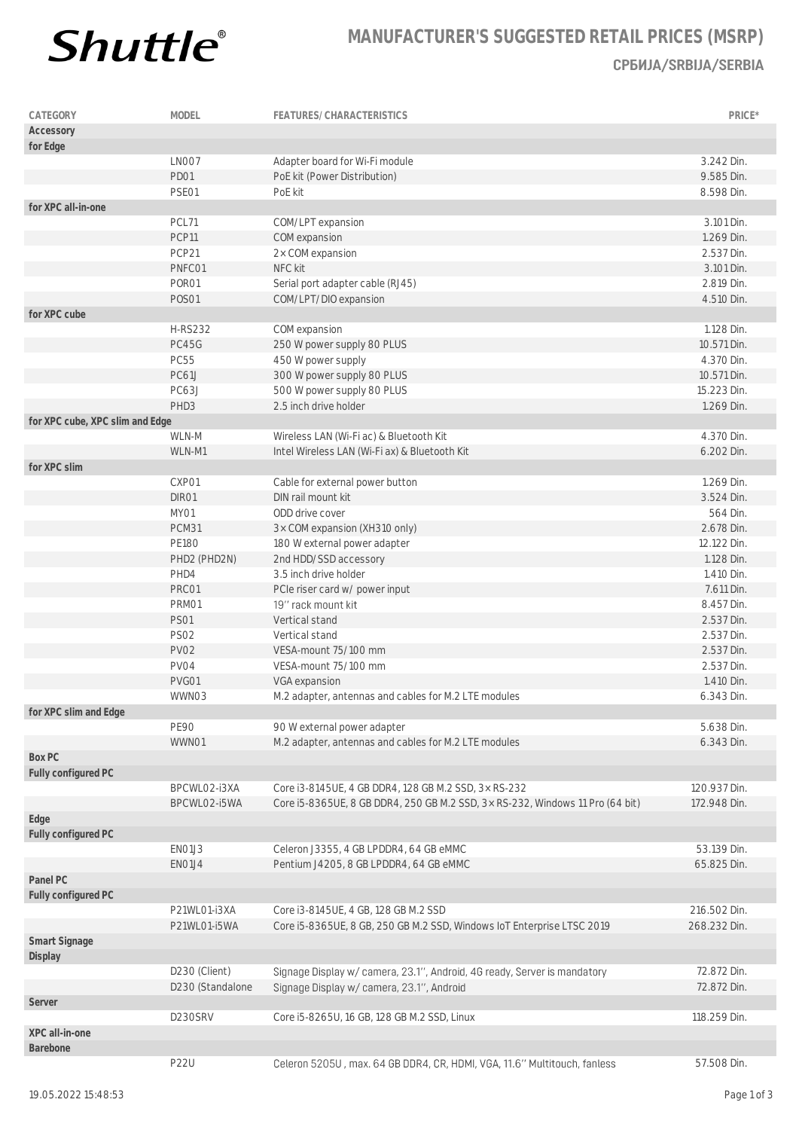

## **MANUFACTURER'S SUGGESTED RETAIL PRICES (MSRP) СРБИЈА/SRBIJA/SERBIA**

| CATEGORY                        | MODEL            | FEATURES/CHARACTERISTICS                                                      | PRICE*       |
|---------------------------------|------------------|-------------------------------------------------------------------------------|--------------|
| Accessory                       |                  |                                                                               |              |
| for Edge                        |                  |                                                                               |              |
|                                 | LNO07            | Adapter board for Wi-Fi module                                                | 3.242 Din.   |
|                                 | PD01             | PoE kit (Power Distribution)                                                  | 9.585 Din.   |
|                                 | PSE01            | PoE kit                                                                       | 8.598 Din.   |
| for XPC all-in-one              |                  |                                                                               |              |
|                                 | PCL71            | COM/LPT expansion                                                             | 3.101 Din.   |
|                                 | PCP11            | COM expansion                                                                 | 1.269 Din.   |
|                                 | PCP21            | 2x COM expansion                                                              | 2.537 Din.   |
|                                 | PNFC01           | NFC kit                                                                       | 3.101 Din.   |
|                                 | PORO1            | Serial port adapter cable (RJ45)                                              | 2.819 Din.   |
|                                 | <b>POSO1</b>     | COM/LPT/DIO expansion                                                         | 4.510 Din.   |
| for XPC cube                    | <b>H-RS232</b>   |                                                                               | 1.128 Din.   |
|                                 | PC45G            | COM expansion                                                                 | 10.571 Din.  |
|                                 | <b>PC55</b>      | 250 W power supply 80 PLUS<br>450 W power supply                              | 4.370 Din.   |
|                                 | <b>PC61J</b>     | 300 W power supply 80 PLUS                                                    | 10.571 Din.  |
|                                 | PC63J            | 500 W power supply 80 PLUS                                                    | 15.223 Din.  |
|                                 | PHD <sub>3</sub> | 2.5 inch drive holder                                                         | 1.269 Din.   |
| for XPC cube, XPC slim and Edge |                  |                                                                               |              |
|                                 | WLN-M            | Wireless LAN (Wi-Fi ac) & Bluetooth Kit                                       | 4.370 Din.   |
|                                 | WLN-M1           | Intel Wireless LAN (Wi-Fi ax) & Bluetooth Kit                                 | 6.202 Din.   |
| for XPC slim                    |                  |                                                                               |              |
|                                 | CXP01            | Cable for external power button                                               | 1.269 Din.   |
|                                 | DIR01            | DIN rail mount kit                                                            | 3.524 Din.   |
|                                 | MY01             | ODD drive cover                                                               | 564 Din.     |
|                                 | PCM31            | 3× COM expansion (XH310 only)                                                 | 2.678 Din.   |
|                                 | <b>PE180</b>     | 180 W external power adapter                                                  | 12.122 Din.  |
|                                 | PHD2 (PHD2N)     | 2nd HDD/SSD accessory                                                         | 1.128 Din.   |
|                                 | PHD4             | 3.5 inch drive holder                                                         | 1.410 Din.   |
|                                 | PRC01            | PCIe riser card w/ power input                                                | 7.611 Din.   |
|                                 | PRM01            | 19" rack mount kit                                                            | 8.457 Din.   |
|                                 | <b>PS01</b>      | Vertical stand                                                                | 2.537 Din.   |
|                                 | <b>PS02</b>      | Vertical stand                                                                | 2.537 Din.   |
|                                 | PV02             | VESA-mount 75/100 mm                                                          | 2.537 Din.   |
|                                 | PV04             | VESA-mount 75/100 mm                                                          | 2.537 Din.   |
|                                 | PVG01            | VGA expansion                                                                 | 1.410 Din.   |
|                                 | WWN03            | M.2 adapter, antennas and cables for M.2 LTE modules                          | 6.343 Din.   |
| for XPC slim and Edge           |                  |                                                                               |              |
|                                 | <b>PE90</b>      | 90 W external power adapter                                                   | 5.638 Din.   |
|                                 | WWN01            | M.2 adapter, antennas and cables for M.2 LTE modules                          | 6.343 Din.   |
| Box PC                          |                  |                                                                               |              |
| Fully configured PC             |                  |                                                                               |              |
|                                 | BPCWLO2-i3XA     | Core i3-8145UE, 4 GB DDR4, 128 GB M.2 SSD, 3x RS-232                          | 120.937 Din. |
|                                 | BPCWLO2-i5WA     | Core i5-8365UE, 8 GB DDR4, 250 GB M.2 SSD, 3x RS-232, Windows 11 Pro (64 bit) | 172.948 Din. |
| Edge                            |                  |                                                                               |              |
| Fully configured PC             |                  |                                                                               |              |
|                                 | EN01J3           | Celeron J3355, 4 GB LPDDR4, 64 GB eMMC                                        | 53.139 Din.  |
| Panel PC                        | EN01J4           | Pentium J4205, 8 GB LPDDR4, 64 GB eMMC                                        | 65.825 Din.  |
|                                 |                  |                                                                               |              |
| Fully configured PC             | P21WL01-i3XA     | Core i3-8145UE, 4 GB, 128 GB M.2 SSD                                          | 216.502 Din. |
|                                 | P21WL01-i5WA     | Core i5-8365UE, 8 GB, 250 GB M.2 SSD, Windows IoT Enterprise LTSC 2019        | 268.232 Din. |
| Smart Signage                   |                  |                                                                               |              |
| Display                         |                  |                                                                               |              |
|                                 | D230 (Client)    | Signage Display w/ camera, 23.1", Android, 4G ready, Server is mandatory      | 72.872 Din.  |
|                                 | D230 (Standalone | Signage Display w/ camera, 23.1", Android                                     | 72.872 Din.  |
| Server                          | D230SRV          |                                                                               | 118.259 Din. |
| XPC all-in-one                  |                  | Core i5-8265U, 16 GB, 128 GB M.2 SSD, Linux                                   |              |
| Barebone                        |                  |                                                                               |              |
|                                 | <b>P22U</b>      | Celeron 5205U, max. 64 GB DDR4, CR, HDMI, VGA, 11.6" Multitouch, fanless      | 57.508 Din.  |
|                                 |                  |                                                                               |              |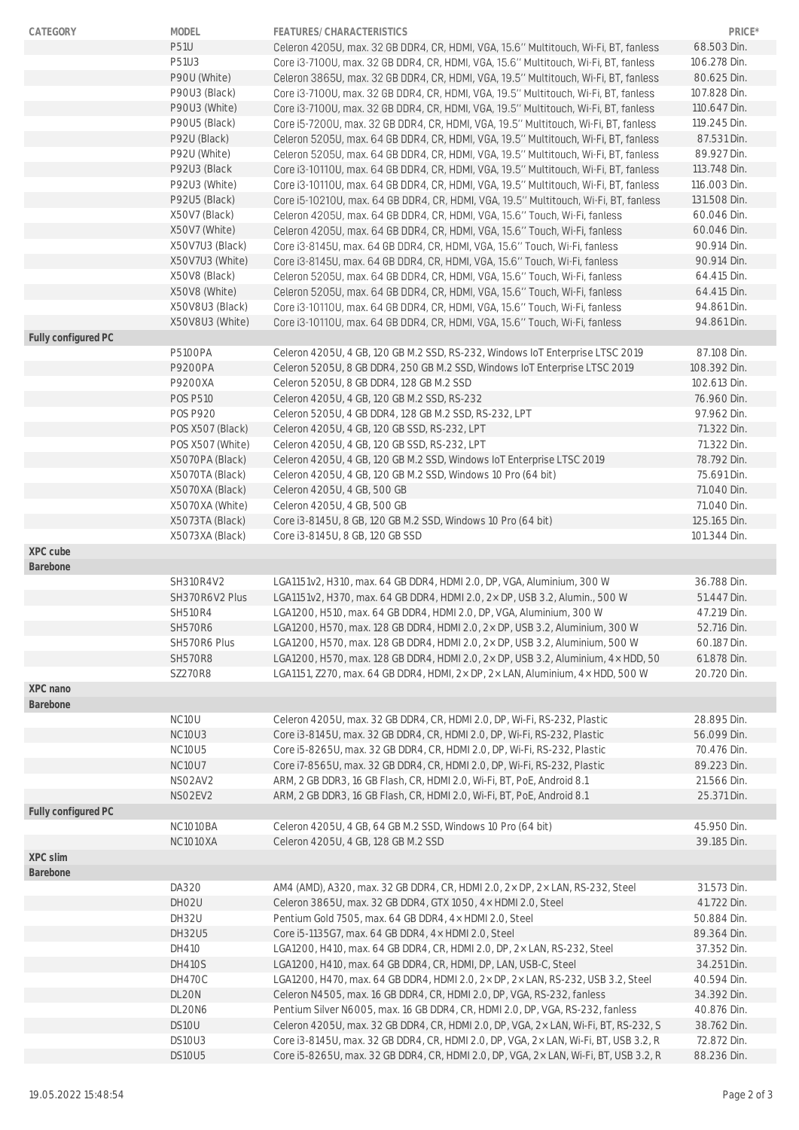| CATEGORY            | MODEL                           | FEATURES/CHARACTERISTICS                                                             | PRICE*       |
|---------------------|---------------------------------|--------------------------------------------------------------------------------------|--------------|
|                     | <b>P51U</b>                     | Celeron 4205U, max. 32 GB DDR4, CR, HDMI, VGA, 15.6" Multitouch, Wi-Fi, BT, fanless  | 68.503 Din.  |
|                     | P51U3                           | Core i3-7100U, max. 32 GB DDR4, CR, HDMI, VGA, 15.6" Multitouch, Wi-Fi, BT, fanless  | 106.278 Din. |
|                     | P90U (White)                    | Celeron 3865U, max. 32 GB DDR4, CR, HDMI, VGA, 19.5" Multitouch, Wi-Fi, BT, fanless  | 80.625 Din.  |
|                     | P90U3 (Black)                   | Core i3-7100U, max. 32 GB DDR4, CR, HDMI, VGA, 19.5" Multitouch, Wi-Fi, BT, fanless  | 107.828 Din. |
|                     | P90U3 (White)                   | Core i3-7100U, max. 32 GB DDR4, CR, HDMI, VGA, 19.5" Multitouch, Wi-Fi, BT, fanless  | 110.647 Din. |
|                     | P90U5 (Black)                   | Core i5-7200U, max. 32 GB DDR4, CR, HDMI, VGA, 19.5" Multitouch, Wi-Fi, BT, fanless  | 119.245 Din. |
|                     | P92U (Black)                    | Celeron 5205U, max. 64 GB DDR4, CR, HDMI, VGA, 19.5" Multitouch, Wi-Fi, BT, fanless  | 87.531 Din.  |
|                     | P92U (White)                    | Celeron 5205U, max. 64 GB DDR4, CR, HDMI, VGA, 19.5" Multitouch, Wi-Fi, BT, fanless  | 89.927 Din.  |
|                     | P92U3 (Black                    | Core i3-10110U, max, 64 GB DDR4, CR, HDMI, VGA, 19.5" Multitouch, Wi-Fi, BT, fanless | 113.748 Din. |
|                     | P92U3 (White)                   | Core i3-10110U, max. 64 GB DDR4, CR, HDMI, VGA, 19.5" Multitouch, Wi-Fi, BT, fanless | 116.003 Din. |
|                     | P92U5 (Black)                   | Core i5-10210U, max. 64 GB DDR4, CR, HDMI, VGA, 19.5" Multitouch, Wi-Fi, BT, fanless | 131.508 Din. |
|                     | X50V7 (Black)                   | Celeron 4205U, max. 64 GB DDR4, CR, HDMI, VGA, 15.6" Touch, Wi-Fi, fanless           | 60.046 Din.  |
|                     | X50V7 (White)                   | Celeron 4205U, max. 64 GB DDR4, CR, HDMI, VGA, 15.6" Touch, Wi-Fi, fanless           | 60.046 Din.  |
|                     | X50V7U3 (Black)                 | Core i3-8145U, max. 64 GB DDR4, CR, HDMI, VGA, 15.6" Touch, Wi-Fi, fanless           | 90.914 Din.  |
|                     | X50V7U3 (White)                 | Core i3-8145U, max. 64 GB DDR4, CR, HDMI, VGA, 15.6" Touch, Wi-Fi, fanless           | 90.914 Din.  |
|                     | X50V8 (Black)                   | Celeron 5205U, max. 64 GB DDR4, CR, HDMI, VGA, 15.6" Touch, Wi-Fi, fanless           | 64.415 Din.  |
|                     | X50V8 (White)                   | Celeron 5205U, max. 64 GB DDR4, CR, HDMI, VGA, 15.6" Touch, Wi-Fi, fanless           | 64.415 Din.  |
|                     | X50V8U3 (Black)                 | Core i3-10110U, max. 64 GB DDR4, CR, HDMI, VGA, 15.6" Touch, Wi-Fi, fanless          | 94.861 Din.  |
|                     | X50V8U3 (White)                 | Core i3-10110U, max. 64 GB DDR4, CR, HDMI, VGA, 15.6" Touch, Wi-Fi, fanless          | 94.861 Din.  |
| Fully configured PC |                                 |                                                                                      |              |
|                     |                                 | Celeron 4205U, 4 GB, 120 GB M.2 SSD, RS-232, Windows IoT Enterprise LTSC 2019        |              |
|                     | <b>P5100PA</b>                  |                                                                                      | 87.108 Din.  |
|                     | P9200PA                         | Celeron 5205U, 8 GB DDR4, 250 GB M.2 SSD, Windows IoT Enterprise LTSC 2019           | 108.392 Din. |
|                     | P9200XA                         | Celeron 5205U, 8 GB DDR4, 128 GB M.2 SSD                                             | 102.613 Din. |
|                     | <b>POS P510</b>                 | Celeron 4205U, 4 GB, 120 GB M.2 SSD, RS-232                                          | 76.960 Din.  |
|                     | <b>POS P920</b>                 | Celeron 5205U, 4 GB DDR4, 128 GB M.2 SSD, RS-232, LPT                                | 97.962 Din.  |
|                     | POS X507 (Black)                | Celeron 4205U, 4 GB, 120 GB SSD, RS-232, LPT                                         | 71.322 Din.  |
|                     | POS X507 (White)                | Celeron 4205U, 4 GB, 120 GB SSD, RS-232, LPT                                         | 71.322 Din.  |
|                     | X5070PA (Black)                 | Celeron 4205U, 4 GB, 120 GB M.2 SSD, Windows IoT Enterprise LTSC 2019                | 78.792 Din.  |
|                     | X5070TA (Black)                 | Celeron 4205U, 4 GB, 120 GB M.2 SSD, Windows 10 Pro (64 bit)                         | 75.691 Din.  |
|                     | X5070XA (Black)                 | Celeron 4205U, 4 GB, 500 GB                                                          | 71.040 Din.  |
|                     | X5070XA (White)                 | Celeron 4205U, 4 GB, 500 GB                                                          | 71.040 Din.  |
|                     | X5073TA (Black)                 | Core i3-8145U, 8 GB, 120 GB M.2 SSD, Windows 10 Pro (64 bit)                         | 125.165 Din. |
|                     | X5073XA (Black)                 | Core i3-8145U, 8 GB, 120 GB SSD                                                      | 101.344 Din. |
| XPC cube            |                                 |                                                                                      |              |
| Barebone            |                                 |                                                                                      |              |
|                     | SH310R4V2                       | LGA1151v2, H310, max. 64 GB DDR4, HDMI 2.0, DP, VGA, Aluminium, 300 W                | 36.788 Din.  |
|                     | SH370R6V2 Plus                  | LGA1151v2, H370, max. 64 GB DDR4, HDMI 2.0, 2x DP, USB 3.2, Alumin., 500 W           | 51.447 Din.  |
|                     | <b>SH510R4</b>                  | LGA1200, H510, max. 64 GB DDR4, HDMI 2.0, DP, VGA, Aluminium, 300 W                  | 47.219 Din.  |
|                     | <b>SH570R6</b>                  | LGA1200, H570, max. 128 GB DDR4, HDMI 2.0, 2x DP, USB 3.2, Aluminium, 300 W          | 52.716 Din.  |
|                     | SH570R6 Plus                    | LGA1200, H570, max. 128 GB DDR4, HDMI 2.0, 2× DP, USB 3.2, Aluminium, 500 W          | 60.187 Din.  |
|                     | <b>SH570R8</b>                  | LGA1200, H570, max. 128 GB DDR4, HDMI 2.0, 2× DP, USB 3.2, Aluminium, 4× HDD, 50     | 61.878 Din.  |
|                     | <b>SZ270R8</b>                  | LGA1151, Z270, max. 64 GB DDR4, HDMI, 2× DP, 2× LAN, Aluminium, 4× HDD, 500 W        | 20.720 Din.  |
| XPC nano            |                                 |                                                                                      |              |
| Barebone            |                                 |                                                                                      |              |
|                     | NC10U                           | Celeron 4205U, max. 32 GB DDR4, CR, HDMI 2.0, DP, Wi-Fi, RS-232, Plastic             | 28.895 Din.  |
|                     | NC <sub>10</sub> U <sub>3</sub> | Core i3-8145U, max. 32 GB DDR4, CR, HDMI 2.0, DP, Wi-Fi, RS-232, Plastic             | 56.099 Din.  |
|                     | NC10U5                          | Core i5-8265U, max. 32 GB DDR4, CR, HDMI 2.0, DP, Wi-Fi, RS-232, Plastic             | 70.476 Din.  |
|                     | <b>NC10U7</b>                   | Core i7-8565U, max. 32 GB DDR4, CR, HDMI 2.0, DP, Wi-Fi, RS-232, Plastic             | 89.223 Din.  |
|                     | NSO2AV2                         | ARM, 2 GB DDR3, 16 GB Flash, CR, HDMI 2.0, Wi-Fi, BT, PoE, Android 8.1               | 21.566 Din.  |
|                     | NSO2EV2                         | ARM, 2 GB DDR3, 16 GB Flash, CR, HDMI 2.0, Wi-Fi, BT, PoE, Android 8.1               | 25.371 Din.  |
| Fully configured PC |                                 |                                                                                      |              |
|                     | <b>NC1010BA</b>                 | Celeron 4205U, 4 GB, 64 GB M.2 SSD, Windows 10 Pro (64 bit)                          | 45.950 Din.  |
|                     | <b>NC1010XA</b>                 | Celeron 4205U, 4 GB, 128 GB M.2 SSD                                                  | 39.185 Din.  |
| XPC slim            |                                 |                                                                                      |              |
| Barebone            |                                 |                                                                                      |              |
|                     | DA320                           | AM4 (AMD), A320, max. 32 GB DDR4, CR, HDMI 2.0, 2× DP, 2× LAN, RS-232, Steel         | 31.573 Din.  |
|                     | DHO <sub>2U</sub>               | Celeron 3865U, max. 32 GB DDR4, GTX 1050, 4 x HDMI 2.0, Steel                        | 41.722 Din.  |
|                     | DH32U                           | Pentium Gold 7505, max. 64 GB DDR4, 4× HDMI 2.0, Steel                               | 50.884 Din.  |
|                     | DH32U5                          | Core i5-1135G7, max. 64 GB DDR4, 4x HDMI 2.0, Steel                                  | 89.364 Din.  |
|                     | DH410                           | LGA1200, H410, max. 64 GB DDR4, CR, HDMI 2.0, DP, 2x LAN, RS-232, Steel              | 37.352 Din.  |
|                     | <b>DH410S</b>                   | LGA1200, H410, max. 64 GB DDR4, CR, HDMI, DP, LAN, USB-C, Steel                      | 34.251 Din.  |
|                     | <b>DH470C</b>                   | LGA1200, H470, max. 64 GB DDR4, HDMI 2.0, 2× DP, 2× LAN, RS-232, USB 3.2, Steel      | 40.594 Din.  |
|                     | DL20N                           | Celeron N4505, max. 16 GB DDR4, CR, HDMI 2.0, DP, VGA, RS-232, fanless               | 34.392 Din.  |
|                     | DL20N6                          | Pentium Silver N6005, max. 16 GB DDR4, CR, HDMI 2.0, DP, VGA, RS-232, fanless        | 40.876 Din.  |
|                     | DS10U                           | Celeron 4205U, max. 32 GB DDR4, CR, HDMI 2.0, DP, VGA, 2× LAN, Wi-Fi, BT, RS-232, S  | 38.762 Din.  |
|                     | DS10U3                          | Core i3-8145U, max. 32 GB DDR4, CR, HDMI 2.0, DP, VGA, 2× LAN, Wi-Fi, BT, USB 3.2, R | 72.872 Din.  |
|                     | DS10U5                          | Core i5-8265U, max. 32 GB DDR4, CR, HDMI 2.0, DP, VGA, 2× LAN, Wi-Fi, BT, USB 3.2, R | 88.236 Din.  |